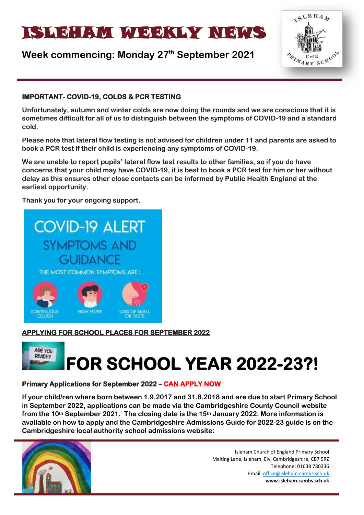# ISLAM WEEKLYNEIN WATER

# **Week commencing: Monday 27th September 2021**



# **IMPORTANT- COVID-19, COLDS & PCR TESTING**

**Unfortunately, autumn and winter colds are now doing the rounds and we are conscious that it is sometimes difficult for all of us to distinguish between the symptoms of COVID-19 and a standard cold.** 

**Please note that lateral flow testing is not advised for children under 11 and parents are asked to book a PCR test if their child is experiencing any symptoms of COVID-19.** 

**We are unable to report pupils' lateral flow test results to other families, so if you do have concerns that your child may have COVID-19, it is best to book a PCR test for him or her without delay as this ensures other close contacts can be informed by Public Health England at the earliest opportunity.** 

**Thank you for your ongoing support.**



# **APPLYING FOR SCHOOL PLACES FOR SEPTEMBER 2022**

# ARE YOU **READY? FOR SCHOOL YEAR 2022-23?!**

# **Primary Applications for September 2022 – CAN APPLY NOW**

**If your child/ren where born between 1.9.2017 and 31.8.2018 and are due to start Primary School in September 2022, applications can be made via the Cambridgeshire County Council website from the 10th September 2021. The closing date is the 15th January 2022. More information is available on how to apply and the Cambridgeshire Admissions Guide for 2022-23 guide is on the Cambridgeshire local authority school admissions website:**

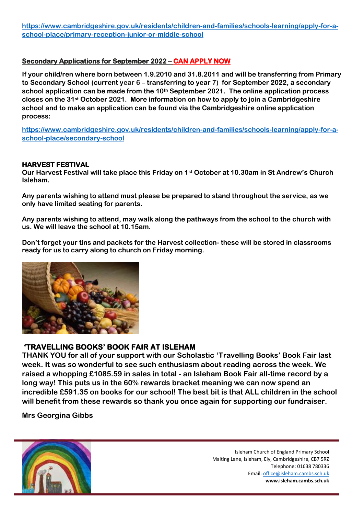**[https://www.cambridgeshire.gov.uk/residents/children-and-families/schools-learning/apply-for-a](https://www.cambridgeshire.gov.uk/residents/children-and-families/schools-learning/apply-for-a-school-place/primary-reception-junior-or-middle-school)[school-place/primary-reception-junior-or-middle-school](https://www.cambridgeshire.gov.uk/residents/children-and-families/schools-learning/apply-for-a-school-place/primary-reception-junior-or-middle-school)**

#### **Secondary Applications for September 2022 – CAN APPLY NOW**

**If your child/ren where born between 1.9.2010 and 31.8.2011 and will be transferring from Primary to Secondary School (current year 6 – transferring to year 7) for September 2022, a secondary school application can be made from the 10th September 2021. The online application process closes on the 31st October 2021. More information on how to apply to join a Cambridgeshire school and to make an application can be found via the Cambridgeshire online application process:**

**[https://www.cambridgeshire.gov.uk/residents/children-and-families/schools-learning/apply-for-a](https://www.cambridgeshire.gov.uk/residents/children-and-families/schools-learning/apply-for-a-school-place/secondary-school)[school-place/secondary-school](https://www.cambridgeshire.gov.uk/residents/children-and-families/schools-learning/apply-for-a-school-place/secondary-school)**

#### **HARVEST FESTIVAL**

**Our Harvest Festival will take place this Friday on 1st October at 10.30am in St Andrew's Church Isleham.**

**Any parents wishing to attend must please be prepared to stand throughout the service, as we only have limited seating for parents.**

**Any parents wishing to attend, may walk along the pathways from the school to the church with us. We will leave the school at 10.15am.**

**Don't forget your tins and packets for the Harvest collection- these will be stored in classrooms ready for us to carry along to church on Friday morning.**



#### **'TRAVELLING BOOKS' BOOK FAIR AT ISLEHAM**

**THANK YOU for all of your support with our Scholastic 'Travelling Books' Book Fair last week. It was so wonderful to see such enthusiasm about reading across the week. We raised a whopping £1085.59 in sales in total - an Isleham Book Fair all-time record by a long way! This puts us in the 60% rewards bracket meaning we can now spend an incredible £591.35 on books for our school! The best bit is that ALL children in the school will benefit from these rewards so thank you once again for supporting our fundraiser.**

**Mrs Georgina Gibbs**

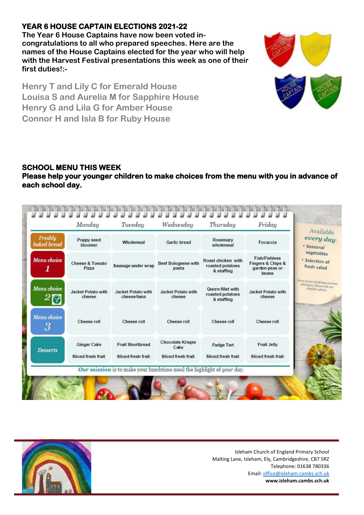# **YEAR 6 HOUSE CAPTAIN ELECTIONS 2021-22**

**The Year 6 House Captains have now been voted incongratulations to all who prepared speeches. Here are the names of the House Captains elected for the year who will help with the Harvest Festival presentations this week as one of their first duties!:-**



**Henry T and Lily C for Emerald House Louisa S and Aurelia M for Sapphire House Henry G and Lila G for Amber House Connor H and Isla B for Ruby House**

# **SCHOOL MENU THIS WEEK**

# **Please help your younger children to make choices from the menu with you in advance of each school day.**

| Freshly<br>baked bread                  | Poppy seed<br>bloomer                           | Wholemeal                                     | <b>Garlic bread</b>                                    | Rosemary<br>wholemeal                                | Focaccia                                                             | Available<br>every day:<br>· Seasonal                     |
|-----------------------------------------|-------------------------------------------------|-----------------------------------------------|--------------------------------------------------------|------------------------------------------------------|----------------------------------------------------------------------|-----------------------------------------------------------|
| <b>Menu</b> choice<br>1                 | <b>Cheese &amp; Tomato</b><br>Pizza             | Sausage under wrap                            | <b>Beef Bolognese with</b><br>pasta                    | Roast chicken with<br>roasted potatoes<br>& stuffing | <b>Fish/Fishless</b><br>Fingers & Chips &<br>garden peas or<br>beans | vegetables<br>· Selection of<br>fresh salad               |
| Menu choice                             | <b>Jacket Potato with</b><br>cheese             | <b>Jacket Potato with</b><br>cheese/tuna      | <b>Jacket Potato with</b><br>cheese                    | Quorn fillet with<br>roasted potatoes<br>& stuffing  | <b>Jacket Potato with</b><br>cheese                                  | Some of our food may contain<br>allergens, Please ask our |
| Menu choice<br>$\overline{\mathcal{S}}$ | Cheese roll                                     | Cheese roll                                   | Cheese roll                                            | Cheese roll                                          | Cheese roll                                                          |                                                           |
| <b>Desserts</b>                         | <b>Ginger Cake</b><br><b>Sliced fresh fruit</b> | <b>Fruit Shortbread</b><br>Sliced fresh fruit | <b>Chocolate Krispie</b><br>Cake<br>Sliced fresh fruit | <b>Fudge Tart</b><br>Sliced fresh fruit              | Fruit Jelly<br>Sliced fresh fruit                                    |                                                           |